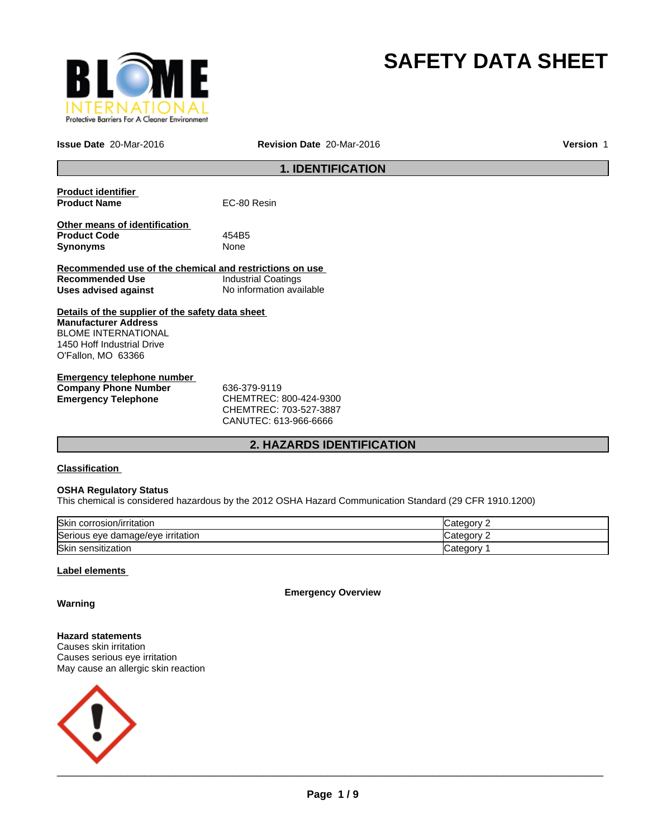

# **SAFETY DATA SHEET**

**Issue Date** 20-Mar-2016 **Revision Date** 20-Mar-2016 **Version** 1

## **1. IDENTIFICATION**

| <b>Product identifier</b>                               |                            |
|---------------------------------------------------------|----------------------------|
| <b>Product Name</b>                                     | EC-80 Resin                |
|                                                         |                            |
| Other means of identification                           |                            |
| <b>Product Code</b>                                     | 454B5                      |
| <b>Synonyms</b>                                         | None                       |
|                                                         |                            |
| Recommended use of the chemical and restrictions on use |                            |
| Recommended Use                                         | <b>Industrial Coatings</b> |
| Uses advised against                                    | No information available   |
|                                                         |                            |
| Details of the supplier of the safety data sheet        |                            |
| <b>Manufacturer Address</b>                             |                            |
| <b>BLOME INTERNATIONAL</b>                              |                            |
| 1450 Hoff Industrial Drive                              |                            |
| O'Fallon, MO 63366                                      |                            |
|                                                         |                            |
| Emergency telephone number                              |                            |

| Emergency telephone number  |                             |
|-----------------------------|-----------------------------|
| <b>Company Phone Number</b> | 636-379-9119                |
| Emergency Telephone         | CHEMTREC: 800-424-9300      |
|                             | $C$ HEMTDE $C$ 703-527-3887 |

CHEMTREC: 703-527-3887 CANUTEC: 613-966-6666

## **2. HAZARDS IDENTIFICATION**

## **Classification**

## **OSHA Regulatory Status**

This chemical is considered hazardous by the 2012 OSHA Hazard Communication Standard (29 CFR 1910.1200)

| Skin corrosion/irritation         | Category |
|-----------------------------------|----------|
| Serious eye damage/eye irritation | ategory. |
| Skin sensitization                | Category |

## **Label elements**

**Emergency Overview**

**Warning**

**Hazard statements** Causes skin irritation Causes serious eye irritation May cause an allergic skin reaction

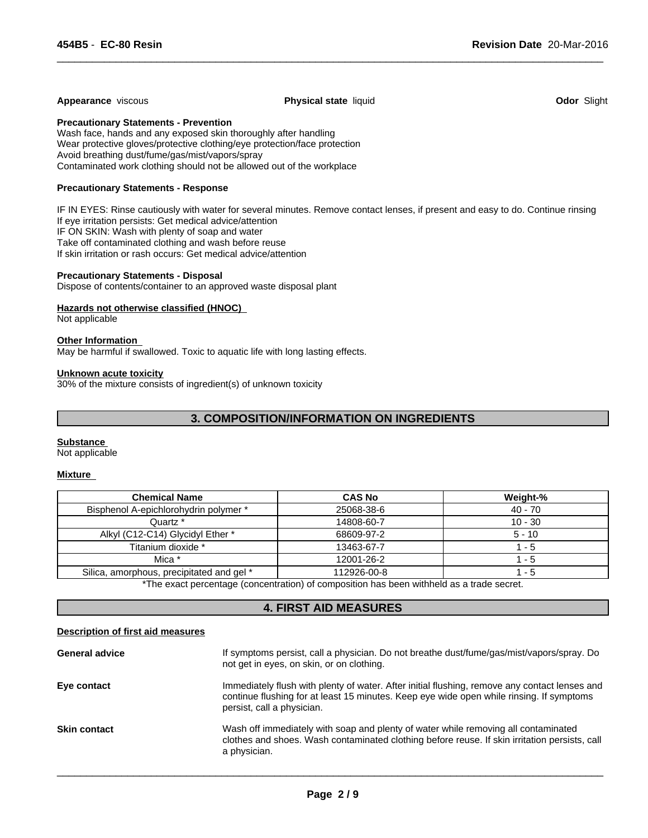#### **Appearance** viscous **Physical state** liquid **Odor** Slight

 $\overline{\phantom{a}}$  ,  $\overline{\phantom{a}}$  ,  $\overline{\phantom{a}}$  ,  $\overline{\phantom{a}}$  ,  $\overline{\phantom{a}}$  ,  $\overline{\phantom{a}}$  ,  $\overline{\phantom{a}}$  ,  $\overline{\phantom{a}}$  ,  $\overline{\phantom{a}}$  ,  $\overline{\phantom{a}}$  ,  $\overline{\phantom{a}}$  ,  $\overline{\phantom{a}}$  ,  $\overline{\phantom{a}}$  ,  $\overline{\phantom{a}}$  ,  $\overline{\phantom{a}}$  ,  $\overline{\phantom{a}}$ 

**Precautionary Statements - Prevention**

Wash face, hands and any exposed skin thoroughly after handling Wear protective gloves/protective clothing/eye protection/face protection Avoid breathing dust/fume/gas/mist/vapors/spray Contaminated work clothing should not be allowed out of the workplace

## **Precautionary Statements - Response**

IF IN EYES: Rinse cautiously with water for several minutes. Remove contact lenses, if present and easy to do. Continue rinsing If eye irritation persists: Get medical advice/attention IF ON SKIN: Wash with plenty of soap and water Take off contaminated clothing and wash before reuse If skin irritation or rash occurs: Get medical advice/attention

### **Precautionary Statements - Disposal**

Dispose of contents/container to an approved waste disposal plant

## **Hazards not otherwise classified (HNOC)**

Not applicable

## **Other Information**

May be harmful if swallowed. Toxic to aquatic life with long lasting effects.

#### **Unknown acute toxicity**

30% of the mixture consists of ingredient(s) of unknown toxicity

## **3. COMPOSITION/INFORMATION ON INGREDIENTS**

#### **Substance**

Not applicable

#### **Mixture**

| <b>Chemical Name</b>                      | <b>CAS No</b> | Weight-%  |
|-------------------------------------------|---------------|-----------|
| Bisphenol A-epichlorohydrin polymer *     | 25068-38-6    | $40 - 70$ |
| Quartz *                                  | 14808-60-7    | $10 - 30$ |
| Alkyl (C12-C14) Glycidyl Ether *          | 68609-97-2    | $5 - 10$  |
| Titanium dioxide *                        | 13463-67-7    | - 5       |
| Mica *                                    | 12001-26-2    | - 5       |
| Silica, amorphous, precipitated and gel * | 112926-00-8   | - 5       |

\*The exact percentage (concentration) of composition has been withheld as a trade secret.

## **4. FIRST AID MEASURES**

#### **Description of first aid measures**

| If symptoms persist, call a physician. Do not breathe dust/fume/gas/mist/vapors/spray. Do<br><b>General advice</b><br>not get in eyes, on skin, or on clothing.                                                                        |  |
|----------------------------------------------------------------------------------------------------------------------------------------------------------------------------------------------------------------------------------------|--|
| Immediately flush with plenty of water. After initial flushing, remove any contact lenses and<br>Eye contact<br>continue flushing for at least 15 minutes. Keep eye wide open while rinsing. If symptoms<br>persist, call a physician. |  |
| Wash off immediately with soap and plenty of water while removing all contaminated<br><b>Skin contact</b><br>clothes and shoes. Wash contaminated clothing before reuse. If skin irritation persists, call<br>a physician.             |  |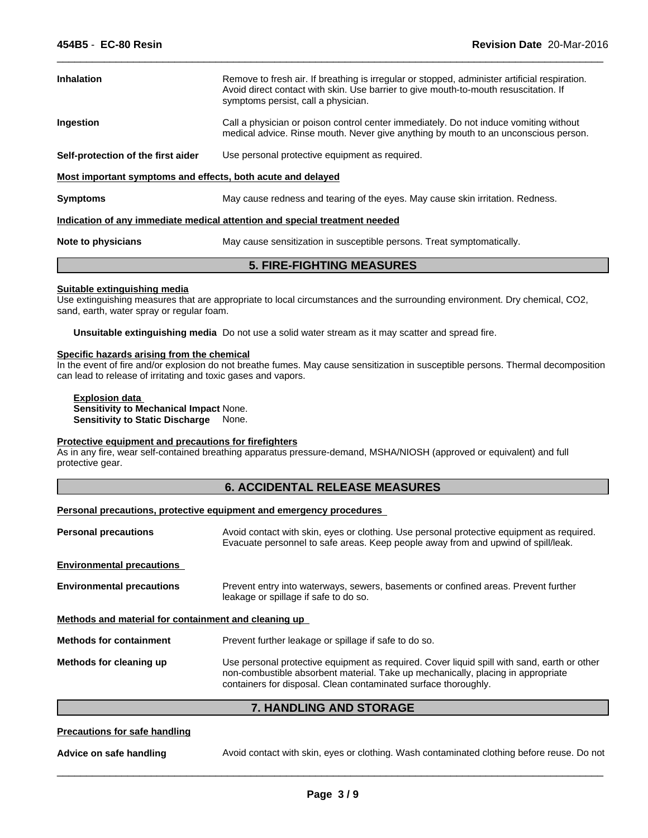| <b>Inhalation</b>                                           | Remove to fresh air. If breathing is irregular or stopped, administer artificial respiration.<br>Avoid direct contact with skin. Use barrier to give mouth-to-mouth resuscitation. If<br>symptoms persist, call a physician. |
|-------------------------------------------------------------|------------------------------------------------------------------------------------------------------------------------------------------------------------------------------------------------------------------------------|
| Ingestion                                                   | Call a physician or poison control center immediately. Do not induce vomiting without<br>medical advice. Rinse mouth. Never give anything by mouth to an unconscious person.                                                 |
| Self-protection of the first aider                          | Use personal protective equipment as required.                                                                                                                                                                               |
| Most important symptoms and effects, both acute and delayed |                                                                                                                                                                                                                              |
| <b>Symptoms</b>                                             | May cause redness and tearing of the eyes. May cause skin irritation. Redness.                                                                                                                                               |
|                                                             | Indication of any immediate medical attention and special treatment needed                                                                                                                                                   |
| Note to physicians                                          | May cause sensitization in susceptible persons. Treat symptomatically.                                                                                                                                                       |

 $\overline{\phantom{a}}$  ,  $\overline{\phantom{a}}$  ,  $\overline{\phantom{a}}$  ,  $\overline{\phantom{a}}$  ,  $\overline{\phantom{a}}$  ,  $\overline{\phantom{a}}$  ,  $\overline{\phantom{a}}$  ,  $\overline{\phantom{a}}$  ,  $\overline{\phantom{a}}$  ,  $\overline{\phantom{a}}$  ,  $\overline{\phantom{a}}$  ,  $\overline{\phantom{a}}$  ,  $\overline{\phantom{a}}$  ,  $\overline{\phantom{a}}$  ,  $\overline{\phantom{a}}$  ,  $\overline{\phantom{a}}$ 

## **5. FIRE-FIGHTING MEASURES**

### **Suitable extinguishing media**

Use extinguishing measures that are appropriate to local circumstances and the surrounding environment. Dry chemical, CO2, sand, earth, water spray or regular foam.

**Unsuitable extinguishing media** Do not use a solid water stream as it may scatter and spread fire.

### **Specific hazards arising from the chemical**

In the event of fire and/or explosion do not breathe fumes. May cause sensitization in susceptible persons. Thermal decomposition can lead to release of irritating and toxic gases and vapors.

## **Explosion data**

**Sensitivity to Mechanical Impact** None. **Sensitivity to Static Discharge** None.

## **Protective equipment and precautions for firefighters**

As in any fire, wear self-contained breathing apparatus pressure-demand, MSHA/NIOSH (approved or equivalent) and full protective gear.

## **6. ACCIDENTAL RELEASE MEASURES**

## **Personal precautions, protective equipment and emergency procedures**

| <b>Personal precautions</b>                          | Avoid contact with skin, eyes or clothing. Use personal protective equipment as required.<br>Evacuate personnel to safe areas. Keep people away from and upwind of spill/leak.                                                                     |  |
|------------------------------------------------------|----------------------------------------------------------------------------------------------------------------------------------------------------------------------------------------------------------------------------------------------------|--|
| <b>Environmental precautions</b>                     |                                                                                                                                                                                                                                                    |  |
| <b>Environmental precautions</b>                     | Prevent entry into waterways, sewers, basements or confined areas. Prevent further<br>leakage or spillage if safe to do so.                                                                                                                        |  |
| Methods and material for containment and cleaning up |                                                                                                                                                                                                                                                    |  |
| <b>Methods for containment</b>                       | Prevent further leakage or spillage if safe to do so.                                                                                                                                                                                              |  |
| Methods for cleaning up                              | Use personal protective equipment as required. Cover liquid spill with sand, earth or other<br>non-combustible absorbent material. Take up mechanically, placing in appropriate<br>containers for disposal. Clean contaminated surface thoroughly. |  |

## **7. HANDLING AND STORAGE**

## **Precautions for safe handling**

**Advice on safe handling** Avoid contact with skin, eyes or clothing. Wash contaminated clothing before reuse. Do not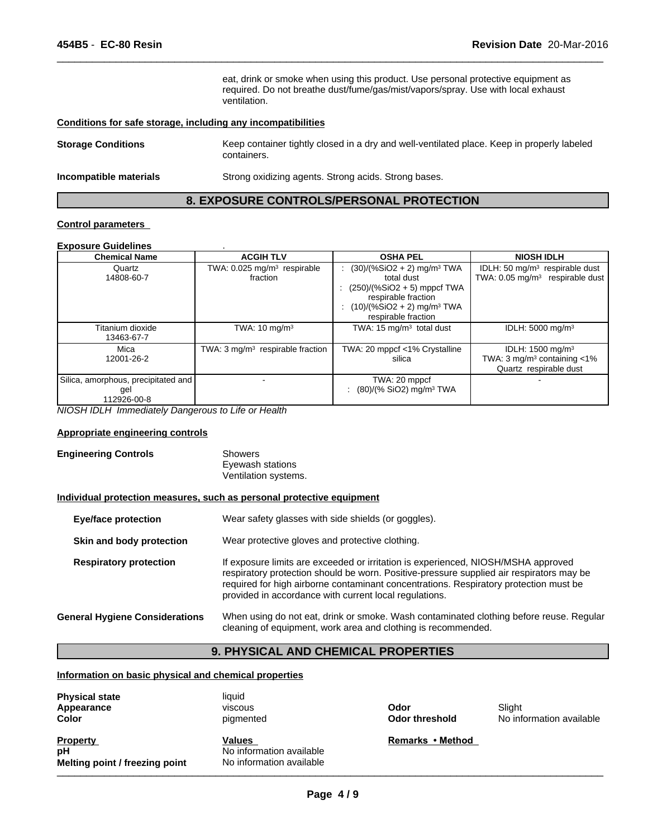eat, drink or smoke when using this product. Use personal protective equipment as required. Do not breathe dust/fume/gas/mist/vapors/spray. Use with local exhaust ventilation.

 $\overline{\phantom{a}}$  ,  $\overline{\phantom{a}}$  ,  $\overline{\phantom{a}}$  ,  $\overline{\phantom{a}}$  ,  $\overline{\phantom{a}}$  ,  $\overline{\phantom{a}}$  ,  $\overline{\phantom{a}}$  ,  $\overline{\phantom{a}}$  ,  $\overline{\phantom{a}}$  ,  $\overline{\phantom{a}}$  ,  $\overline{\phantom{a}}$  ,  $\overline{\phantom{a}}$  ,  $\overline{\phantom{a}}$  ,  $\overline{\phantom{a}}$  ,  $\overline{\phantom{a}}$  ,  $\overline{\phantom{a}}$ 

## **Conditions for safe storage, including any incompatibilities**

| <b>Storage Conditions</b> | Keep container tightly closed in a dry and well-ventilated place. Keep in properly labeled<br>containers. |
|---------------------------|-----------------------------------------------------------------------------------------------------------|
| Incompatible materials    | Strong oxidizing agents. Strong acids. Strong bases.                                                      |

## **8. EXPOSURE CONTROLS/PERSONAL PROTECTION**

## **Control parameters**

## **Exposure Guidelines** .

| <b>Chemical Name</b>                                      | <b>ACGIH TLV</b>                                    | <b>OSHA PEL</b>                                                                                                                                                                     | <b>NIOSH IDLH</b>                                                                                        |
|-----------------------------------------------------------|-----------------------------------------------------|-------------------------------------------------------------------------------------------------------------------------------------------------------------------------------------|----------------------------------------------------------------------------------------------------------|
| Quartz<br>14808-60-7                                      | TWA: 0.025 mg/m <sup>3</sup> respirable<br>fraction | $(30)/(%SiO2 + 2)$ mg/m <sup>3</sup> TWA<br>total dust<br>: $(250)/(%SiO2 + 5)$ mppcf TWA<br>respirable fraction<br>$(10)/(%SiO2 + 2)$ mg/m <sup>3</sup> TWA<br>respirable fraction | IDLH: 50 mg/m <sup>3</sup> respirable dust<br>TWA: $0.05$ mg/m <sup>3</sup> respirable dust              |
| Titanium dioxide<br>13463-67-7                            | TWA: $10 \text{ mg/m}^3$                            | TWA: $15 \text{ mg/m}^3$ total dust                                                                                                                                                 | IDLH: 5000 mg/m <sup>3</sup>                                                                             |
| Mica<br>12001-26-2                                        | TWA: $3 \text{ mg/m}^3$ respirable fraction         | TWA: 20 mppcf <1% Crystalline<br>silica                                                                                                                                             | IDLH: $1500$ mg/m <sup>3</sup><br>TWA: $3 \text{ mg/m}^3$ containing $\lt 1\%$<br>Quartz respirable dust |
| Silica, amorphous, precipitated and<br>gel<br>112926-00-8 |                                                     | TWA: 20 mppcf<br>$(80)/(%$ SiO2) mg/m <sup>3</sup> TWA                                                                                                                              |                                                                                                          |

*NIOSH IDLH Immediately Dangerous to Life or Health*

#### **Appropriate engineering controls**

## **Engineering Controls** Showers Eyewash stations Ventilation systems.

#### **Individual protection measures, such as personal protective equipment**

| <b>Eye/face protection</b>            | Wear safety glasses with side shields (or goggles).                                                                                                                                                                                                                                                                              |
|---------------------------------------|----------------------------------------------------------------------------------------------------------------------------------------------------------------------------------------------------------------------------------------------------------------------------------------------------------------------------------|
| Skin and body protection              | Wear protective gloves and protective clothing.                                                                                                                                                                                                                                                                                  |
| <b>Respiratory protection</b>         | If exposure limits are exceeded or irritation is experienced, NIOSH/MSHA approved<br>respiratory protection should be worn. Positive-pressure supplied air respirators may be<br>required for high airborne contaminant concentrations. Respiratory protection must be<br>provided in accordance with current local regulations. |
| <b>General Hygiene Considerations</b> | When using do not eat, drink or smoke. Wash contaminated clothing before reuse. Regular<br>cleaning of equipment, work area and clothing is recommended.                                                                                                                                                                         |

## **9. PHYSICAL AND CHEMICAL PROPERTIES**

## **Information on basic physical and chemical properties**

| <b>Physical state</b><br>Appearance<br><b>Color</b>     | liquid<br>viscous<br>pigmented                                 | Odor<br>Odor threshold | Slight<br>No information available |
|---------------------------------------------------------|----------------------------------------------------------------|------------------------|------------------------------------|
| <b>Property</b><br>рH<br>Melting point / freezing point | Values<br>No information available<br>No information available | Remarks • Method       |                                    |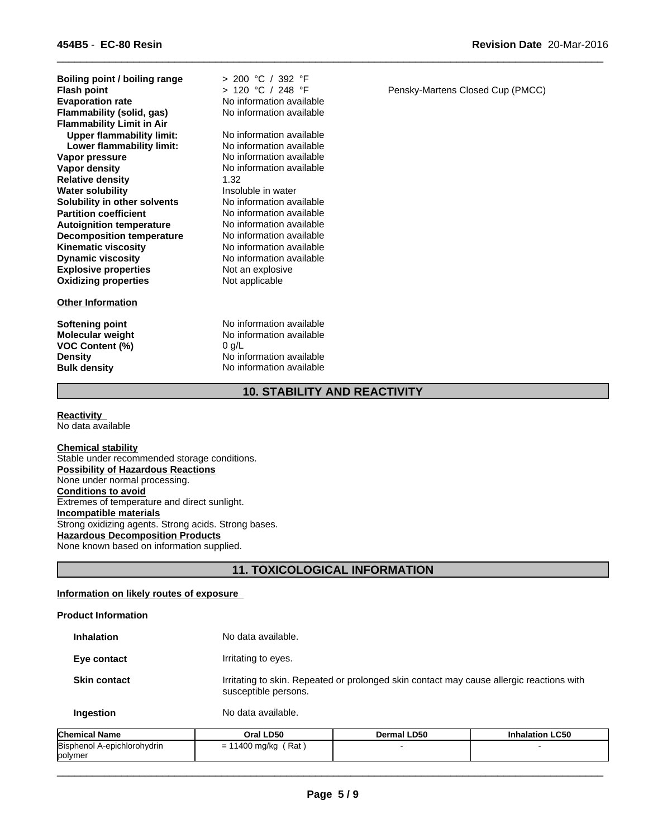**Explosive properties** Not an explosive<br> **Oxidizing properties** Not applicable **Oxidizing properties Boiling point / boiling range Vapor pressure** The Section of No information available<br> **Vapor density** No information available **Evaporation rate Communisty Communist Communist Communist Communist Communist Communist Communist Communist Communist Communist Communist Communist Communist Communist Communist Communist Communist Communist Communist C Relative density** 1.32 **Water solubility Insoluble in water Flammability (solid, gas) Solubility in other solvents** No information available<br> **Partition coefficient** No information available **Flammability Limit in Air**<br>**Upper flammability limit:** No information available **Autoignition temperature** No information available<br> **Decomposition temperature** No information available **Decomposition temperature** No information available<br> **Kinematic viscosity** No information available **Kinematic viscosity<br>Dynamic viscosity Upper flammability limit:** No information available<br> **Lower flammability limit:** No information available **Lower flammability limit:** 

## **Other Information**

**VOC Content (%)** 0 g/L

> 200 °C / 392 °F **Flash point** > 120 °C / 248 °F

**No information available No information available**<br>No information available **No information available** 

**Softening point** No information available **Molecular weight** No information available **Density** No information available **Bulk density** No information available

 $\overline{\phantom{a}}$  ,  $\overline{\phantom{a}}$  ,  $\overline{\phantom{a}}$  ,  $\overline{\phantom{a}}$  ,  $\overline{\phantom{a}}$  ,  $\overline{\phantom{a}}$  ,  $\overline{\phantom{a}}$  ,  $\overline{\phantom{a}}$  ,  $\overline{\phantom{a}}$  ,  $\overline{\phantom{a}}$  ,  $\overline{\phantom{a}}$  ,  $\overline{\phantom{a}}$  ,  $\overline{\phantom{a}}$  ,  $\overline{\phantom{a}}$  ,  $\overline{\phantom{a}}$  ,  $\overline{\phantom{a}}$ 

**Revision Date** 20-Mar-2016

Pensky-Martens Closed Cup (PMCC)

## **10. STABILITY AND REACTIVITY**

**Reactivity**  No data available

**Chemical stability** Stable under recommended storage conditions. **Possibility of Hazardous Reactions** None under normal processing. **Conditions to avoid** Extremes of temperature and direct sunlight. **Incompatible materials** Strong oxidizing agents. Strong acids. Strong bases. **Hazardous Decomposition Products** None known based on information supplied.

## **11. TOXICOLOGICAL INFORMATION**

## **Information on likely routes of exposure**

## **Product Information**

| <b>Inhalation</b>   | No data available.                                                                                               |
|---------------------|------------------------------------------------------------------------------------------------------------------|
| Eye contact         | Irritating to eyes.                                                                                              |
| <b>Skin contact</b> | Irritating to skin. Repeated or prolonged skin contact may cause allergic reactions with<br>susceptible persons. |
| Ingestion           | No data available.                                                                                               |

| <b>Chemical Name</b>        | Oral LD50                                                                        | <b>Dermal LD50</b> | <b>Inhalation LC50</b> |
|-----------------------------|----------------------------------------------------------------------------------|--------------------|------------------------|
| Bisphenol A-epichlorohydrin | Rat .<br>1400<br>, mg/kg<br>$\overline{\phantom{0}}$<br>$\overline{\phantom{0}}$ |                    |                        |
| polymer                     |                                                                                  |                    |                        |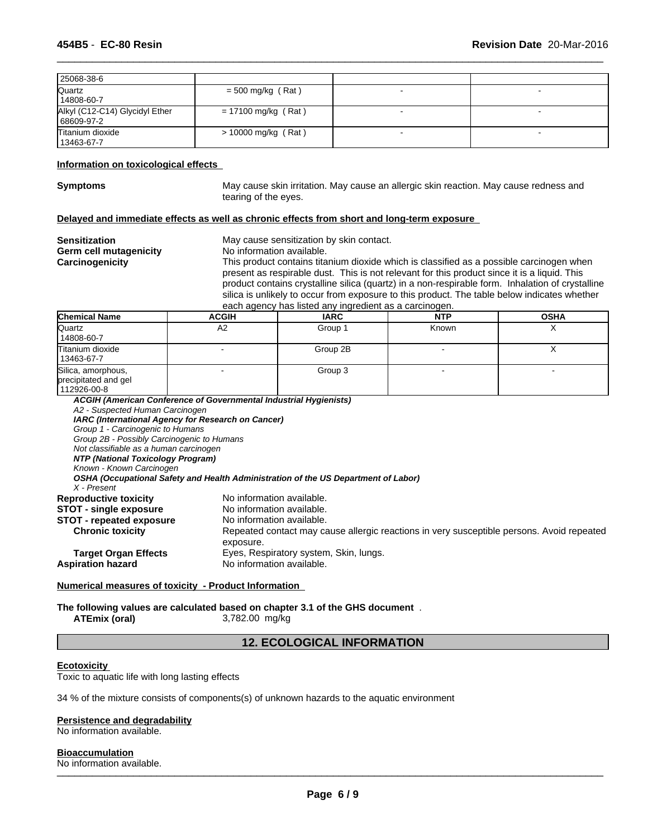| 25068-38-6                                   |                       |  |
|----------------------------------------------|-----------------------|--|
| Quartz<br>14808-60-7                         | $=$ 500 mg/kg (Rat)   |  |
| Alkyl (C12-C14) Glycidyl Ether<br>68609-97-2 | $= 17100$ mg/kg (Rat) |  |
| Titanium dioxide<br>13463-67-7               | $> 10000$ mg/kg (Rat) |  |

#### **Information on toxicological effects**

**Symptoms** May cause skin irritation. May cause an allergic skin reaction. May cause redness and tearing of the eyes.

 $\overline{\phantom{a}}$  ,  $\overline{\phantom{a}}$  ,  $\overline{\phantom{a}}$  ,  $\overline{\phantom{a}}$  ,  $\overline{\phantom{a}}$  ,  $\overline{\phantom{a}}$  ,  $\overline{\phantom{a}}$  ,  $\overline{\phantom{a}}$  ,  $\overline{\phantom{a}}$  ,  $\overline{\phantom{a}}$  ,  $\overline{\phantom{a}}$  ,  $\overline{\phantom{a}}$  ,  $\overline{\phantom{a}}$  ,  $\overline{\phantom{a}}$  ,  $\overline{\phantom{a}}$  ,  $\overline{\phantom{a}}$ 

## **Delayed and immediate effects as well as chronic effects from short and long-term exposure**

| <b>Sensitization</b><br><b>Germ cell mutagenicity</b><br>Carcinogenicity |              | May cause sensitization by skin contact.<br>No information available.<br>This product contains titanium dioxide which is classified as a possible carcinogen when<br>present as respirable dust. This is not relevant for this product since it is a liquid. This<br>product contains crystalline silica (quartz) in a non-respirable form. Inhalation of crystalline<br>silica is unlikely to occur from exposure to this product. The table below indicates whether<br>each agency has listed any ingredient as a carcinogen. |            |             |  |  |
|--------------------------------------------------------------------------|--------------|---------------------------------------------------------------------------------------------------------------------------------------------------------------------------------------------------------------------------------------------------------------------------------------------------------------------------------------------------------------------------------------------------------------------------------------------------------------------------------------------------------------------------------|------------|-------------|--|--|
| <b>Chemical Name</b>                                                     | <b>ACGIH</b> | <b>IARC</b>                                                                                                                                                                                                                                                                                                                                                                                                                                                                                                                     | <b>NTP</b> | <b>OSHA</b> |  |  |
| Quartz<br>14808-60-7                                                     | A2           | Group 1                                                                                                                                                                                                                                                                                                                                                                                                                                                                                                                         | Known      |             |  |  |
| Titanium dioxide                                                         |              | Group 2B                                                                                                                                                                                                                                                                                                                                                                                                                                                                                                                        |            |             |  |  |

| 13463-67-7                                 |                                                                                    |                                        |                                                                                           |  |
|--------------------------------------------|------------------------------------------------------------------------------------|----------------------------------------|-------------------------------------------------------------------------------------------|--|
| Silica, amorphous,                         |                                                                                    | Group 3                                |                                                                                           |  |
| precipitated and gel                       |                                                                                    |                                        |                                                                                           |  |
| 112926-00-8                                |                                                                                    |                                        |                                                                                           |  |
|                                            | ACGIH (American Conference of Governmental Industrial Hygienists)                  |                                        |                                                                                           |  |
| A2 - Suspected Human Carcinogen            |                                                                                    |                                        |                                                                                           |  |
|                                            | IARC (International Agency for Research on Cancer)                                 |                                        |                                                                                           |  |
| Group 1 - Carcinogenic to Humans           |                                                                                    |                                        |                                                                                           |  |
| Group 2B - Possibly Carcinogenic to Humans |                                                                                    |                                        |                                                                                           |  |
| Not classifiable as a human carcinogen     |                                                                                    |                                        |                                                                                           |  |
| NTP (National Toxicology Program)          |                                                                                    |                                        |                                                                                           |  |
| Known - Known Carcinogen                   |                                                                                    |                                        |                                                                                           |  |
| X - Present                                | OSHA (Occupational Safety and Health Administration of the US Department of Labor) |                                        |                                                                                           |  |
| <b>Reproductive toxicity</b>               | No information available.                                                          |                                        |                                                                                           |  |
| <b>STOT - single exposure</b>              | No information available.                                                          |                                        |                                                                                           |  |
| <b>STOT - repeated exposure</b>            | No information available.                                                          |                                        |                                                                                           |  |
| <b>Chronic toxicity</b>                    |                                                                                    |                                        | Repeated contact may cause allergic reactions in very susceptible persons. Avoid repeated |  |
|                                            | exposure.                                                                          |                                        |                                                                                           |  |
| <b>Target Organ Effects</b>                |                                                                                    | Eyes, Respiratory system, Skin, lungs. |                                                                                           |  |
| <b>Aspiration hazard</b>                   | No information available.                                                          |                                        |                                                                                           |  |
|                                            |                                                                                    |                                        |                                                                                           |  |

## **Numerical measures of toxicity - Product Information**

**The following values are calculated based on chapter 3.1 of the GHS document** .

**ATEmix (oral)** 3,782.00 mg/kg

## **12. ECOLOGICAL INFORMATION**

## **Ecotoxicity**

Toxic to aquatic life with long lasting effects

34 % of the mixture consists of components(s) of unknown hazards to the aquatic environment

#### **Persistence and degradability**

No information available.

**Bioaccumulation**<br>No information available. No information available. \_\_\_\_\_\_\_\_\_\_\_\_\_\_\_\_\_\_\_\_\_\_\_\_\_\_\_\_\_\_\_\_\_\_\_\_\_\_\_\_\_\_\_\_\_\_\_\_\_\_\_\_\_\_\_\_\_\_\_\_\_\_\_\_\_\_\_\_\_\_\_\_\_\_\_\_\_\_\_\_\_\_\_\_\_\_\_\_\_\_\_\_\_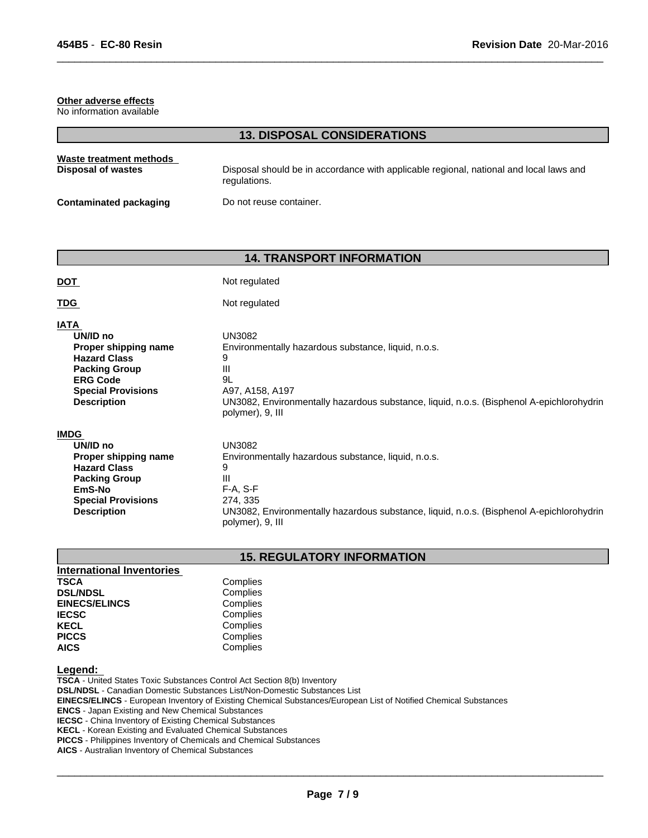### **Other adverse effects**

No information available

## **13. DISPOSAL CONSIDERATIONS**

 $\overline{\phantom{a}}$  ,  $\overline{\phantom{a}}$  ,  $\overline{\phantom{a}}$  ,  $\overline{\phantom{a}}$  ,  $\overline{\phantom{a}}$  ,  $\overline{\phantom{a}}$  ,  $\overline{\phantom{a}}$  ,  $\overline{\phantom{a}}$  ,  $\overline{\phantom{a}}$  ,  $\overline{\phantom{a}}$  ,  $\overline{\phantom{a}}$  ,  $\overline{\phantom{a}}$  ,  $\overline{\phantom{a}}$  ,  $\overline{\phantom{a}}$  ,  $\overline{\phantom{a}}$  ,  $\overline{\phantom{a}}$ 

| Waste treatment methods       | Disposal should be in accordance with applicable regional, national and local laws and |
|-------------------------------|----------------------------------------------------------------------------------------|
| Disposal of wastes            | regulations.                                                                           |
| <b>Contaminated packaging</b> | Do not reuse container.                                                                |

## **14. TRANSPORT INFORMATION**

| <u>DOT</u>                | Not regulated                                                                            |
|---------------------------|------------------------------------------------------------------------------------------|
| <b>TDG</b>                | Not regulated                                                                            |
| <b>IATA</b>               | <b>UN3082</b>                                                                            |
| UN/ID no                  | Environmentally hazardous substance, liquid, n.o.s.                                      |
| Proper shipping name      | 9                                                                                        |
| <b>Hazard Class</b>       | Ш                                                                                        |
| <b>Packing Group</b>      | 9L                                                                                       |
| <b>ERG Code</b>           | A97, A158, A197                                                                          |
| <b>Special Provisions</b> | UN3082, Environmentally hazardous substance, liquid, n.o.s. (Bisphenol A-epichlorohydrin |
| <b>Description</b>        | polymer), 9, III                                                                         |
| <b>IMDG</b>               | <b>UN3082</b>                                                                            |
| UN/ID no                  | Environmentally hazardous substance, liquid, n.o.s.                                      |
| Proper shipping name      | 9                                                                                        |
| <b>Hazard Class</b>       | Ш                                                                                        |
| <b>Packing Group</b>      | $F-A, S-F$                                                                               |
| EmS-No                    | 274, 335                                                                                 |
| <b>Special Provisions</b> | UN3082, Environmentally hazardous substance, liquid, n.o.s. (Bisphenol A-epichlorohydrin |
| <b>Description</b>        | polymer), 9, III                                                                         |

## **15. REGULATORY INFORMATION**

| <b>International Inventories</b> |          |  |
|----------------------------------|----------|--|
|                                  |          |  |
| <b>TSCA</b>                      | Complies |  |
| <b>DSL/NDSL</b>                  | Complies |  |
| <b>EINECS/ELINCS</b>             | Complies |  |
| <b>IECSC</b>                     | Complies |  |
| <b>KECL</b>                      | Complies |  |
| <b>PICCS</b>                     | Complies |  |
| <b>AICS</b>                      | Complies |  |

## **Legend:**

**TSCA** - United States Toxic Substances Control Act Section 8(b) Inventory **DSL/NDSL** - Canadian Domestic Substances List/Non-Domestic Substances List **EINECS/ELINCS** - European Inventory of Existing Chemical Substances/European List of Notified Chemical Substances **ENCS** - Japan Existing and New Chemical Substances **IECSC** - China Inventory of Existing Chemical Substances **KECL** - Korean Existing and Evaluated Chemical Substances **PICCS** - Philippines Inventory of Chemicals and Chemical Substances

**AICS** - Australian Inventory of Chemical Substances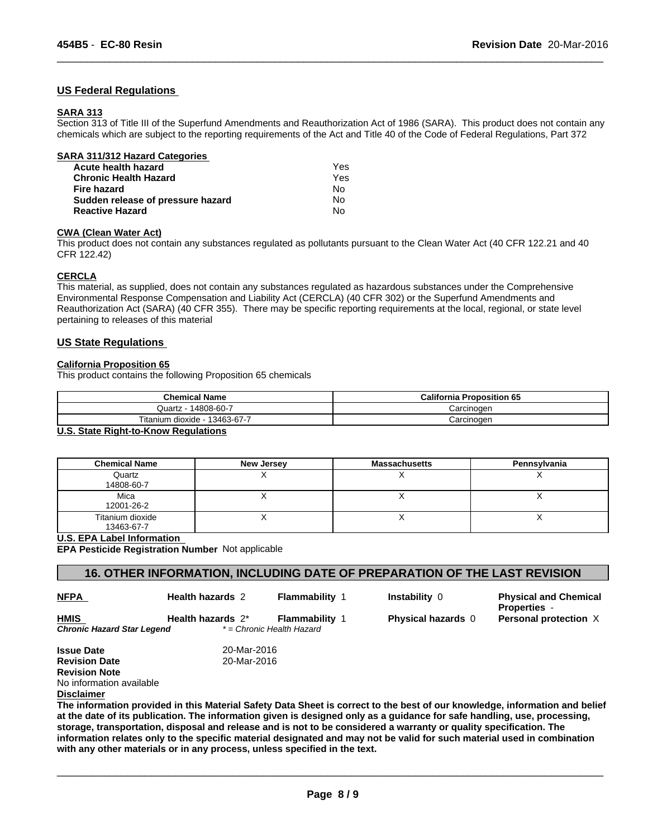## **US Federal Regulations**

## **SARA 313**

Section 313 of Title III of the Superfund Amendments and Reauthorization Act of 1986 (SARA). This product does not contain any chemicals which are subject to the reporting requirements of the Act and Title 40 of the Code of Federal Regulations, Part 372

 $\overline{\phantom{a}}$  ,  $\overline{\phantom{a}}$  ,  $\overline{\phantom{a}}$  ,  $\overline{\phantom{a}}$  ,  $\overline{\phantom{a}}$  ,  $\overline{\phantom{a}}$  ,  $\overline{\phantom{a}}$  ,  $\overline{\phantom{a}}$  ,  $\overline{\phantom{a}}$  ,  $\overline{\phantom{a}}$  ,  $\overline{\phantom{a}}$  ,  $\overline{\phantom{a}}$  ,  $\overline{\phantom{a}}$  ,  $\overline{\phantom{a}}$  ,  $\overline{\phantom{a}}$  ,  $\overline{\phantom{a}}$ 

| Yes |  |
|-----|--|
| Yes |  |
| No  |  |
| No  |  |
| No  |  |
|     |  |

### **CWA (Clean Water Act)**

This product does not contain any substances regulated as pollutants pursuant to the Clean Water Act (40 CFR 122.21 and 40 CFR 122.42)

## **CERCLA**

This material, as supplied, does not contain any substances regulated as hazardous substances under the Comprehensive Environmental Response Compensation and Liability Act (CERCLA) (40 CFR 302) or the Superfund Amendments and Reauthorization Act (SARA) (40 CFR 355). There may be specific reporting requirements at the local, regional, or state level pertaining to releases of this material

## **US State Regulations**

## **California Proposition 65**

This product contains the following Proposition 65 chemicals

| <b>Chemical Name</b>          | <b>California Proposition 65</b> |
|-------------------------------|----------------------------------|
| Quartz - 14808-60-7           | Carcinoɑen                       |
| Titanium dioxide - 13463-67-7 | Carcinogen                       |

## **U.S. State Right-to-Know Regulations**

| <b>Chemical Name</b>           | <b>New Jersey</b> | <b>Massachusetts</b> | Pennsylvania |
|--------------------------------|-------------------|----------------------|--------------|
| Quartz<br>14808-60-7           |                   |                      |              |
| Mica<br>12001-26-2             |                   |                      |              |
| Titanium dioxide<br>13463-67-7 |                   |                      |              |

#### **U.S. EPA Label Information**

**EPA Pesticide Registration Number** Not applicable

## **16. OTHER INFORMATION, INCLUDING DATE OF PREPARATION OF THE LAST REVISION**

| PА<br>۰.<br>w |  |  |
|---------------|--|--|
|               |  |  |

**HMIS** 

**Health hazards** 2 **Flammability** 1

*Chronic Hazard Star Legend \* = Chronic Health Hazard*

 $\overline{\phantom{a}}$  ,  $\overline{\phantom{a}}$  ,  $\overline{\phantom{a}}$  ,  $\overline{\phantom{a}}$  ,  $\overline{\phantom{a}}$  ,  $\overline{\phantom{a}}$  ,  $\overline{\phantom{a}}$  ,  $\overline{\phantom{a}}$  ,  $\overline{\phantom{a}}$  ,  $\overline{\phantom{a}}$  ,  $\overline{\phantom{a}}$  ,  $\overline{\phantom{a}}$  ,  $\overline{\phantom{a}}$  ,  $\overline{\phantom{a}}$  ,  $\overline{\phantom{a}}$  ,  $\overline{\phantom{a}}$ 

**Instability** 0 **Physical and Chemical Properties** - **Health hazards** 2\* **Flammability** 1 **Physical hazards** 0 **Personal protection** X

**Issue Date** 20-Mar-2016<br> **Revision Date** 20-Mar-2016 **Revision Date Revision Note** No information available **Disclaimer**

**The information provided in this Material Safety Data Sheet is correct to the best of our knowledge, information and belief at the date of its publication. The information given is designed only as a guidance for safe handling, use, processing, storage, transportation, disposal and release and is not to be considered a warranty or quality specification. The information relates only to the specific material designated and may not be valid for such material used in combination with any other materials or in any process, unless specified in the text.**